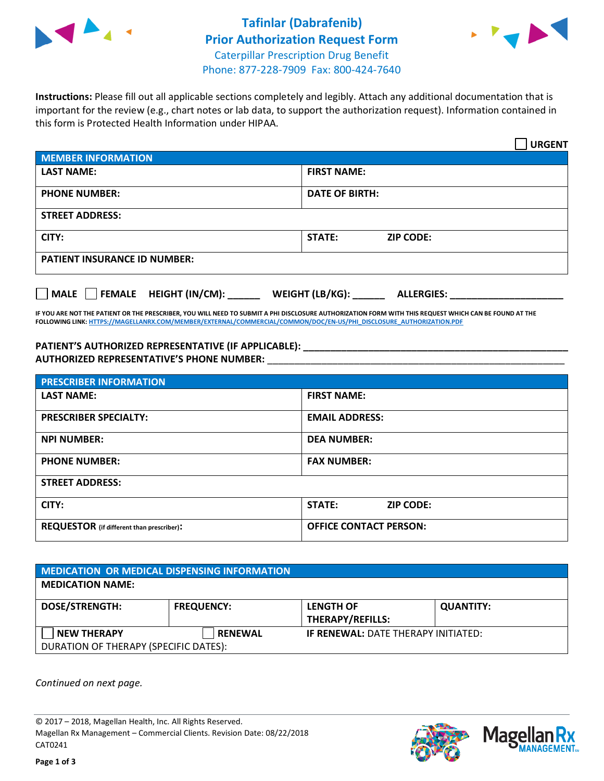



**Instructions:** Please fill out all applicable sections completely and legibly. Attach any additional documentation that is important for the review (e.g., chart notes or lab data, to support the authorization request). Information contained in this form is Protected Health Information under HIPAA.

|                                       | <b>URGENT</b>                        |  |
|---------------------------------------|--------------------------------------|--|
| <b>MEMBER INFORMATION</b>             |                                      |  |
| <b>LAST NAME:</b>                     | <b>FIRST NAME:</b>                   |  |
| <b>PHONE NUMBER:</b>                  | <b>DATE OF BIRTH:</b>                |  |
| <b>STREET ADDRESS:</b>                |                                      |  |
| CITY:                                 | STATE:<br><b>ZIP CODE:</b>           |  |
| <b>PATIENT INSURANCE ID NUMBER:</b>   |                                      |  |
| FEMALE HEIGHT (IN/CM):<br><b>MALE</b> | WEIGHT (LB/KG):<br><b>ALLERGIES:</b> |  |

**IF YOU ARE NOT THE PATIENT OR THE PRESCRIBER, YOU WILL NEED TO SUBMIT A PHI DISCLOSURE AUTHORIZATION FORM WITH THIS REQUEST WHICH CAN BE FOUND AT THE FOLLOWING LINK[: HTTPS://MAGELLANRX.COM/MEMBER/EXTERNAL/COMMERCIAL/COMMON/DOC/EN-US/PHI\\_DISCLOSURE\\_AUTHORIZATION.PDF](https://magellanrx.com/member/external/commercial/common/doc/en-us/PHI_Disclosure_Authorization.pdf)**

**PATIENT'S AUTHORIZED REPRESENTATIVE (IF APPLICABLE): \_\_\_\_\_\_\_\_\_\_\_\_\_\_\_\_\_\_\_\_\_\_\_\_\_\_\_\_\_\_\_\_\_\_\_\_\_\_\_\_\_\_\_\_\_\_\_\_\_ AUTHORIZED REPRESENTATIVE'S PHONE NUMBER:** \_\_\_\_\_\_\_\_\_\_\_\_\_\_\_\_\_\_\_\_\_\_\_\_\_\_\_\_\_\_\_\_\_\_\_\_\_\_\_\_\_\_\_\_\_\_\_\_\_\_\_\_\_\_\_

| <b>PRESCRIBER INFORMATION</b>             |                                   |  |  |
|-------------------------------------------|-----------------------------------|--|--|
| <b>LAST NAME:</b>                         | <b>FIRST NAME:</b>                |  |  |
| <b>PRESCRIBER SPECIALTY:</b>              | <b>EMAIL ADDRESS:</b>             |  |  |
| <b>NPI NUMBER:</b>                        | <b>DEA NUMBER:</b>                |  |  |
| <b>PHONE NUMBER:</b>                      | <b>FAX NUMBER:</b>                |  |  |
| <b>STREET ADDRESS:</b>                    |                                   |  |  |
| CITY:                                     | <b>STATE:</b><br><b>ZIP CODE:</b> |  |  |
| REQUESTOR (if different than prescriber): | <b>OFFICE CONTACT PERSON:</b>     |  |  |

| MEDICATION OR MEDICAL DISPENSING INFORMATION |                   |                                            |                  |  |  |
|----------------------------------------------|-------------------|--------------------------------------------|------------------|--|--|
| <b>MEDICATION NAME:</b>                      |                   |                                            |                  |  |  |
| <b>DOSE/STRENGTH:</b>                        | <b>FREQUENCY:</b> | <b>LENGTH OF</b>                           | <b>QUANTITY:</b> |  |  |
|                                              |                   | <b>THERAPY/REFILLS:</b>                    |                  |  |  |
| <b>NEW THERAPY</b>                           | <b>RENEWAL</b>    | <b>IF RENEWAL: DATE THERAPY INITIATED:</b> |                  |  |  |
| DURATION OF THERAPY (SPECIFIC DATES):        |                   |                                            |                  |  |  |

*Continued on next page.*

© 2017 – 2018, Magellan Health, Inc. All Rights Reserved. Magellan Rx Management – Commercial Clients. Revision Date: 08/22/2018 CAT0241



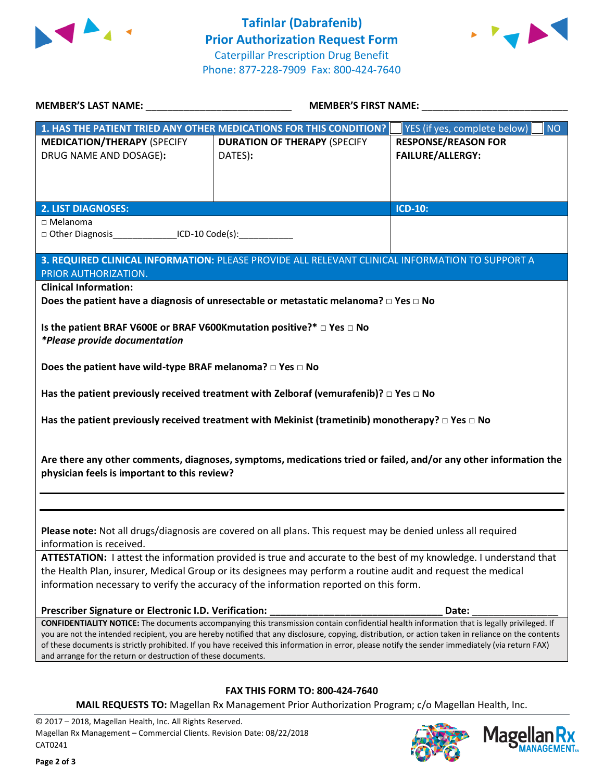



| <b>MEMBER'S LAST NAME:</b> NAME                                       | <b>MEMBER'S FIRST NAME:</b>                                                                                                                                                                                                        |                                           |  |
|-----------------------------------------------------------------------|------------------------------------------------------------------------------------------------------------------------------------------------------------------------------------------------------------------------------------|-------------------------------------------|--|
|                                                                       | 1. HAS THE PATIENT TRIED ANY OTHER MEDICATIONS FOR THIS CONDITION?                                                                                                                                                                 | YES (if yes, complete below)<br><b>NO</b> |  |
| <b>MEDICATION/THERAPY (SPECIFY</b>                                    | <b>DURATION OF THERAPY (SPECIFY</b>                                                                                                                                                                                                | <b>RESPONSE/REASON FOR</b>                |  |
| DRUG NAME AND DOSAGE):                                                | DATES):                                                                                                                                                                                                                            | <b>FAILURE/ALLERGY:</b>                   |  |
|                                                                       |                                                                                                                                                                                                                                    |                                           |  |
|                                                                       |                                                                                                                                                                                                                                    |                                           |  |
| <b>2. LIST DIAGNOSES:</b>                                             |                                                                                                                                                                                                                                    | ICD-10:                                   |  |
| $\Box$ Melanoma                                                       |                                                                                                                                                                                                                                    |                                           |  |
| □ Other Diagnosis__________________ICD-10 Code(s):_______________     |                                                                                                                                                                                                                                    |                                           |  |
|                                                                       | 3. REQUIRED CLINICAL INFORMATION: PLEASE PROVIDE ALL RELEVANT CLINICAL INFORMATION TO SUPPORT A                                                                                                                                    |                                           |  |
| PRIOR AUTHORIZATION.                                                  |                                                                                                                                                                                                                                    |                                           |  |
| <b>Clinical Information:</b>                                          |                                                                                                                                                                                                                                    |                                           |  |
|                                                                       | Does the patient have a diagnosis of unresectable or metastatic melanoma? $\square$ Yes $\square$ No                                                                                                                               |                                           |  |
|                                                                       |                                                                                                                                                                                                                                    |                                           |  |
| Is the patient BRAF V600E or BRAF V600Kmutation positive?* □ Yes □ No |                                                                                                                                                                                                                                    |                                           |  |
| *Please provide documentation                                         |                                                                                                                                                                                                                                    |                                           |  |
| Does the patient have wild-type BRAF melanoma? $\Box$ Yes $\Box$ No   |                                                                                                                                                                                                                                    |                                           |  |
|                                                                       |                                                                                                                                                                                                                                    |                                           |  |
|                                                                       | Has the patient previously received treatment with Zelboraf (vemurafenib)? $\square$ Yes $\square$ No                                                                                                                              |                                           |  |
|                                                                       |                                                                                                                                                                                                                                    |                                           |  |
|                                                                       | Has the patient previously received treatment with Mekinist (trametinib) monotherapy? $\Box$ Yes $\Box$ No                                                                                                                         |                                           |  |
|                                                                       |                                                                                                                                                                                                                                    |                                           |  |
|                                                                       | Are there any other comments, diagnoses, symptoms, medications tried or failed, and/or any other information the                                                                                                                   |                                           |  |
| physician feels is important to this review?                          |                                                                                                                                                                                                                                    |                                           |  |
|                                                                       |                                                                                                                                                                                                                                    |                                           |  |
|                                                                       |                                                                                                                                                                                                                                    |                                           |  |
|                                                                       |                                                                                                                                                                                                                                    |                                           |  |
|                                                                       | Please note: Not all drugs/diagnosis are covered on all plans. This request may be denied unless all required                                                                                                                      |                                           |  |
| information is received.                                              |                                                                                                                                                                                                                                    |                                           |  |
|                                                                       | ATTESTATION: I attest the information provided is true and accurate to the best of my knowledge. I understand that<br>the Health Plan, insurer, Medical Group or its designees may perform a routine audit and request the medical |                                           |  |
|                                                                       | information necessary to verify the accuracy of the information reported on this form.                                                                                                                                             |                                           |  |
|                                                                       |                                                                                                                                                                                                                                    |                                           |  |
| Prescriber Signature or Electronic I.D. Verification:                 |                                                                                                                                                                                                                                    | Date:                                     |  |
|                                                                       | CONFIDENTIALITY NOTICE: The documents accompanying this transmission contain confidential health information that is legally privileged. If                                                                                        |                                           |  |
|                                                                       | you are not the intended recipient, you are hereby notified that any disclosure, copying, distribution, or action taken in reliance on the contents                                                                                |                                           |  |
| and arrange for the return or destruction of these documents.         | of these documents is strictly prohibited. If you have received this information in error, please notify the sender immediately (via return FAX)                                                                                   |                                           |  |
|                                                                       |                                                                                                                                                                                                                                    |                                           |  |
|                                                                       |                                                                                                                                                                                                                                    |                                           |  |
|                                                                       | <b>FAX THIS FORM TO: 800-424-7640</b>                                                                                                                                                                                              |                                           |  |
|                                                                       | MAIL REQUESTS TO: Magellan Rx Management Prior Authorization Program; c/o Magellan Health, Inc.                                                                                                                                    |                                           |  |

© 2017 – 2018, Magellan Health, Inc. All Rights Reserved. Magellan Rx Management – Commercial Clients. Revision Date: 08/22/2018 CAT0241